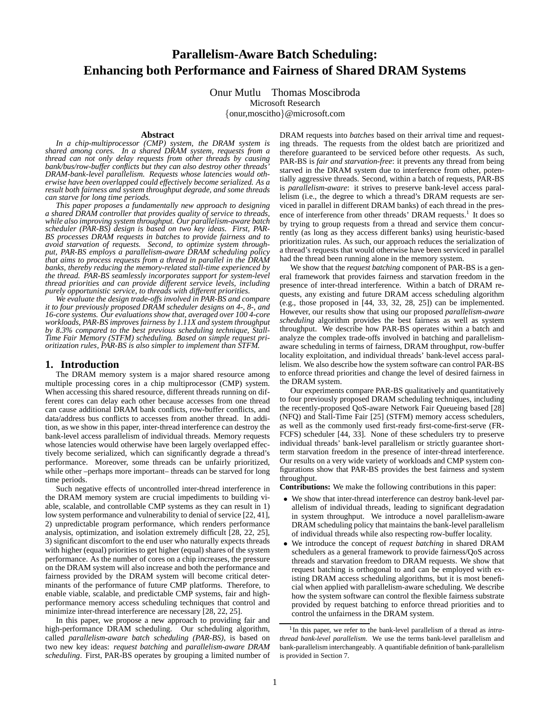# **Parallelism-Aware Batch Scheduling: Enhancing both Performance and Fairness of Shared DRAM Systems**

Onur Mutlu Thomas Moscibroda

Microsoft Research

{onur,moscitho}@microsoft.com

#### **Abstract**

*In a chip-multiprocessor (CMP) system, the DRAM system is shared among cores. In a shared DRAM system, requests from a thread can not only delay requests from other threads by causing bank/bus/row-buffer conflicts but they can also destroy other threads' DRAM-bank-level parallelism. Requests whose latencies would otherwise have been overlapped could effectively become serialized. As a result both fairness and system throughput degrade, and some threads can starve for long time periods.*

*This paper proposes a fundamentally new approach to designing a shared DRAM controller that provides quality of service to threads, while also improving system throughput. Our parallelism-aware batch scheduler (PAR-BS) design is based on two key ideas. First, PAR-BS processes DRAM requests in batches to provide fairness and to avoid starvation of requests. Second, to optimize system throughput, PAR-BS employs a parallelism-aware DRAM scheduling policy that aims to process requests from a thread in parallel in the DRAM banks, thereby reducing the memory-related stall-time experienced by the thread. PAR-BS seamlessly incorporates support for system-level thread priorities and can provide different service levels, including purely opportunistic service, to threads with different priorities.*

*We evaluate the design trade-offs involved in PAR-BS and compare it to four previously proposed DRAM scheduler designs on 4-, 8-, and 16-core systems. Our evaluations show that, averaged over 100 4-core workloads, PAR-BS improves fairness by 1.11X and system throughput by 8.3% compared to the best previous scheduling technique, Stall-Time Fair Memory (STFM) scheduling. Based on simple request prioritization rules, PAR-BS is also simpler to implement than STFM.*

## **1. Introduction**

The DRAM memory system is a major shared resource among multiple processing cores in a chip multiprocessor (CMP) system. When accessing this shared resource, different threads running on different cores can delay each other because accesses from one thread can cause additional DRAM bank conflicts, row-buffer conflicts, and data/address bus conflicts to accesses from another thread. In addition, as we show in this paper, inter-thread interference can destroy the bank-level access parallelism of individual threads. Memory requests whose latencies would otherwise have been largely overlapped effectively become serialized, which can significantly degrade a thread's performance. Moreover, some threads can be unfairly prioritized, while other –perhaps more important– threads can be starved for long time periods.

Such negative effects of uncontrolled inter-thread interference in the DRAM memory system are crucial impediments to building viable, scalable, and controllable CMP systems as they can result in 1) low system performance and vulnerability to denial of service [22, 41], 2) unpredictable program performance, which renders performance analysis, optimization, and isolation extremely difficult [28, 22, 25], 3) significant discomfort to the end user who naturally expects threads with higher (equal) priorities to get higher (equal) shares of the system performance. As the number of cores on a chip increases, the pressure on the DRAM system will also increase and both the performance and fairness provided by the DRAM system will become critical determinants of the performance of future CMP platforms. Therefore, to enable viable, scalable, and predictable CMP systems, fair and highperformance memory access scheduling techniques that control and minimize inter-thread interference are necessary [28, 22, 25].

In this paper, we propose a new approach to providing fair and high-performance DRAM scheduling. Our scheduling algorithm, called *parallelism-aware batch scheduling (PAR-BS)*, is based on two new key ideas: *request batching* and *parallelism-aware DRAM scheduling*. First, PAR-BS operates by grouping a limited number of

DRAM requests into *batches* based on their arrival time and requesting threads. The requests from the oldest batch are prioritized and therefore guaranteed to be serviced before other requests. As such, PAR-BS is *fair and starvation-free*: it prevents any thread from being starved in the DRAM system due to interference from other, potentially aggressive threads. Second, within a batch of requests, PAR-BS is *parallelism-aware*: it strives to preserve bank-level access parallelism (i.e., the degree to which a thread's DRAM requests are serviced in parallel in different DRAM banks) of each thread in the presence of interference from other threads' DRAM requests.<sup>1</sup> It does so by trying to group requests from a thread and service them concurrently (as long as they access different banks) using heuristic-based prioritization rules. As such, our approach reduces the serialization of a thread's requests that would otherwise have been serviced in parallel had the thread been running alone in the memory system.

We show that the *request batching* component of PAR-BS is a general framework that provides fairness and starvation freedom in the presence of inter-thread interference. Within a batch of DRAM requests, any existing and future DRAM access scheduling algorithm (e.g., those proposed in [44, 33, 32, 28, 25]) can be implemented. However, our results show that using our proposed *parallelism-aware scheduling* algorithm provides the best fairness as well as system throughput. We describe how PAR-BS operates within a batch and analyze the complex trade-offs involved in batching and parallelismaware scheduling in terms of fairness, DRAM throughput, row-buffer locality exploitation, and individual threads' bank-level access parallelism. We also describe how the system software can control PAR-BS to enforce thread priorities and change the level of desired fairness in the DRAM system.

Our experiments compare PAR-BS qualitatively and quantitatively to four previously proposed DRAM scheduling techniques, including the recently-proposed QoS-aware Network Fair Queueing based [28] (NFQ) and Stall-Time Fair [25] (STFM) memory access schedulers, as well as the commonly used first-ready first-come-first-serve (FR-FCFS) scheduler [44, 33]. None of these schedulers try to preserve individual threads' bank-level parallelism or strictly guarantee shortterm starvation freedom in the presence of inter-thread interference. Our results on a very wide variety of workloads and CMP system configurations show that PAR-BS provides the best fairness and system throughput.

**Contributions:** We make the following contributions in this paper:

- We show that inter-thread interference can destroy bank-level parallelism of individual threads, leading to significant degradation in system throughput. We introduce a novel parallelism-aware DRAM scheduling policy that maintains the bank-level parallelism of individual threads while also respecting row-buffer locality.
- We introduce the concept of *request batching* in shared DRAM schedulers as a general framework to provide fairness/QoS across threads and starvation freedom to DRAM requests. We show that request batching is orthogonal to and can be employed with existing DRAM access scheduling algorithms, but it is most beneficial when applied with parallelism-aware scheduling. We describe how the system software can control the flexible fairness substrate provided by request batching to enforce thread priorities and to control the unfairness in the DRAM system.

<sup>&</sup>lt;sup>1</sup>In this paper, we refer to the bank-level parallelism of a thread as *intrathread bank-level parallelism*. We use the terms bank-level parallelism and bank-parallelism interchangeably. A quantifiable definition of bank-parallelism is provided in Section 7.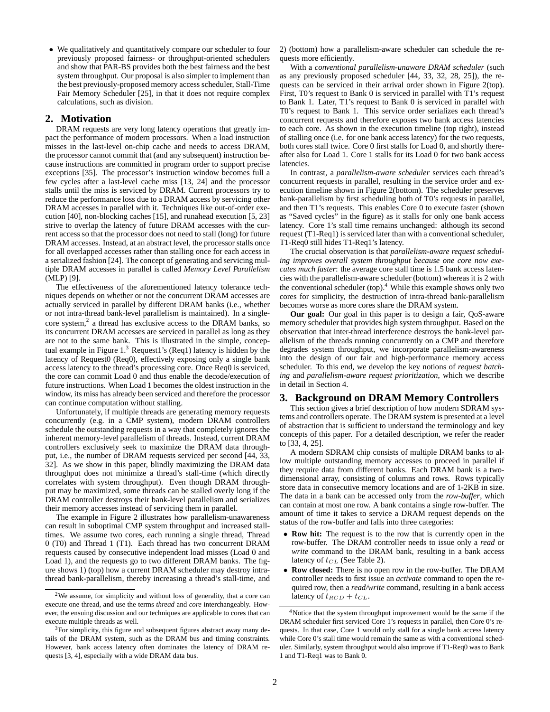• We qualitatively and quantitatively compare our scheduler to four previously proposed fairness- or throughput-oriented schedulers and show that PAR-BS provides both the best fairness and the best system throughput. Our proposal is also simpler to implement than the best previously-proposed memory access scheduler, Stall-Time Fair Memory Scheduler [25], in that it does not require complex calculations, such as division.

# **2. Motivation**

DRAM requests are very long latency operations that greatly impact the performance of modern processors. When a load instruction misses in the last-level on-chip cache and needs to access DRAM, the processor cannot commit that (and any subsequent) instruction because instructions are committed in program order to support precise exceptions [35]. The processor's instruction window becomes full a few cycles after a last-level cache miss [13, 24] and the processor stalls until the miss is serviced by DRAM. Current processors try to reduce the performance loss due to a DRAM access by servicing other DRAM accesses in parallel with it. Techniques like out-of-order execution [40], non-blocking caches [15], and runahead execution [5, 23] strive to overlap the latency of future DRAM accesses with the current access so that the processor does not need to stall (long) for future DRAM accesses. Instead, at an abstract level, the processor stalls once for all overlapped accesses rather than stalling once for each access in a serialized fashion [24]. The concept of generating and servicing multiple DRAM accesses in parallel is called *Memory Level Parallelism* (MLP) [9].

The effectiveness of the aforementioned latency tolerance techniques depends on whether or not the concurrent DRAM accesses are actually serviced in parallel by different DRAM banks (i.e., whether or not intra-thread bank-level parallelism is maintained). In a singlecore system, $2$  a thread has exclusive access to the DRAM banks, so its concurrent DRAM accesses are serviced in parallel as long as they are not to the same bank. This is illustrated in the simple, conceptual example in Figure  $1<sup>3</sup>$  Request1's (Req1) latency is hidden by the latency of Request0 (Req0), effectively exposing only a single bank access latency to the thread's processing core. Once Req0 is serviced, the core can commit Load 0 and thus enable the decode/execution of future instructions. When Load 1 becomes the oldest instruction in the window, its miss has already been serviced and therefore the processor can continue computation without stalling.

Unfortunately, if multiple threads are generating memory requests concurrently (e.g. in a CMP system), modern DRAM controllers schedule the outstanding requests in a way that completely ignores the inherent memory-level parallelism of threads. Instead, current DRAM controllers exclusively seek to maximize the DRAM data throughput, i.e., the number of DRAM requests serviced per second [44, 33, 32]. As we show in this paper, blindly maximizing the DRAM data throughput does not minimize a thread's stall-time (which directly correlates with system throughput). Even though DRAM throughput may be maximized, some threads can be stalled overly long if the DRAM controller destroys their bank-level parallelism and serializes their memory accesses instead of servicing them in parallel.

The example in Figure 2 illustrates how parallelism-unawareness can result in suboptimal CMP system throughput and increased stalltimes. We assume two cores, each running a single thread, Thread 0 (T0) and Thread 1 (T1). Each thread has two concurrent DRAM requests caused by consecutive independent load misses (Load 0 and Load 1), and the requests go to two different DRAM banks. The figure shows 1) (top) how a current DRAM scheduler may destroy intrathread bank-parallelism, thereby increasing a thread's stall-time, and 2) (bottom) how a parallelism-aware scheduler can schedule the requests more efficiently.

With a *conventional parallelism-unaware DRAM scheduler* (such as any previously proposed scheduler [44, 33, 32, 28, 25]), the requests can be serviced in their arrival order shown in Figure 2(top). First, T0's request to Bank 0 is serviced in parallel with T1's request to Bank 1. Later, T1's request to Bank 0 is serviced in parallel with T0's request to Bank 1. This service order serializes each thread's concurrent requests and therefore exposes two bank access latencies to each core. As shown in the execution timeline (top right), instead of stalling once (i.e. for one bank access latency) for the two requests, both cores stall twice. Core 0 first stalls for Load 0, and shortly thereafter also for Load 1. Core 1 stalls for its Load 0 for two bank access latencies.

In contrast, a *parallelism-aware scheduler* services each thread's concurrent requests in parallel, resulting in the service order and execution timeline shown in Figure 2(bottom). The scheduler preserves bank-parallelism by first scheduling both of T0's requests in parallel, and then T1's requests. This enables Core 0 to execute faster (shown as "Saved cycles" in the figure) as it stalls for only one bank access latency. Core 1's stall time remains unchanged: although its second request (T1-Req1) is serviced later than with a conventional scheduler, T1-Req0 still hides T1-Req1's latency.

The crucial observation is that *parallelism-aware request scheduling improves overall system throughput because one core now executes much faster*: the average core stall time is 1.5 bank access latencies with the parallelism-aware scheduler (bottom) whereas it is 2 with the conventional scheduler (top). $4$  While this example shows only two cores for simplicity, the destruction of intra-thread bank-parallelism becomes worse as more cores share the DRAM system.

**Our goal:** Our goal in this paper is to design a fair, QoS-aware memory scheduler that provides high system throughput. Based on the observation that inter-thread interference destroys the bank-level parallelism of the threads running concurrently on a CMP and therefore degrades system throughput, we incorporate parallelism-awareness into the design of our fair and high-performance memory access scheduler. To this end, we develop the key notions of *request batching* and *parallelism-aware request prioritization*, which we describe in detail in Section 4.

## **3. Background on DRAM Memory Controllers**

This section gives a brief description of how modern SDRAM systems and controllers operate. The DRAM system is presented at a level of abstraction that is sufficient to understand the terminology and key concepts of this paper. For a detailed description, we refer the reader to [33, 4, 25].

A modern SDRAM chip consists of multiple DRAM banks to allow multiple outstanding memory accesses to proceed in parallel if they require data from different banks. Each DRAM bank is a twodimensional array, consisting of columns and rows. Rows typically store data in consecutive memory locations and are of 1-2KB in size. The data in a bank can be accessed only from the *row-buffer*, which can contain at most one row. A bank contains a single row-buffer. The amount of time it takes to service a DRAM request depends on the status of the row-buffer and falls into three categories:

- **Row hit:** The request is to the row that is currently open in the row-buffer. The DRAM controller needs to issue only a *read* or *write* command to the DRAM bank, resulting in a bank access latency of  $t_{CL}$  (See Table 2).
- **Row closed:** There is no open row in the row-buffer. The DRAM controller needs to first issue an *activate* command to open the required row, then a *read/write* command, resulting in a bank access latency of  $t_{RCD} + t_{CL}$ .

<sup>&</sup>lt;sup>2</sup>We assume, for simplicity and without loss of generality, that a core can execute one thread, and use the terms *thread* and *core* interchangeably. However, the ensuing discussion and our techniques are applicable to cores that can execute multiple threads as well.

 $3$ For simplicity, this figure and subsequent figures abstract away many details of the DRAM system, such as the DRAM bus and timing constraints. However, bank access latency often dominates the latency of DRAM requests [3, 4], especially with a wide DRAM data bus.

<sup>&</sup>lt;sup>4</sup>Notice that the system throughput improvement would be the same if the DRAM scheduler first serviced Core 1's requests in parallel, then Core 0's requests. In that case, Core 1 would only stall for a single bank access latency while Core 0's stall time would remain the same as with a conventional scheduler. Similarly, system throughput would also improve if T1-Req0 was to Bank 1 and T1-Req1 was to Bank 0.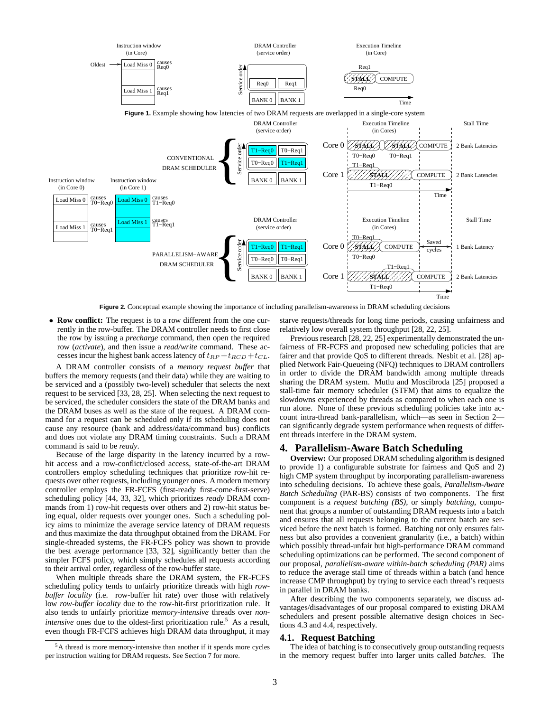

**Figure 2.** Conceptual example showing the importance of including parallelism-awareness in DRAM scheduling decisions

• **Row conflict:** The request is to a row different from the one currently in the row-buffer. The DRAM controller needs to first close the row by issuing a *precharge* command, then open the required row (*activate*), and then issue a *read/write* command. These accesses incur the highest bank access latency of  $t_{RP} + t_{RCD} + t_{CL}$ .

A DRAM controller consists of a *memory request buffer* that buffers the memory requests (and their data) while they are waiting to be serviced and a (possibly two-level) scheduler that selects the next request to be serviced [33, 28, 25]. When selecting the next request to be serviced, the scheduler considers the state of the DRAM banks and the DRAM buses as well as the state of the request. A DRAM command for a request can be scheduled only if its scheduling does not cause any resource (bank and address/data/command bus) conflicts and does not violate any DRAM timing constraints. Such a DRAM command is said to be *ready*.

Because of the large disparity in the latency incurred by a rowhit access and a row-conflict/closed access, state-of-the-art DRAM controllers employ scheduling techniques that prioritize row-hit requests over other requests, including younger ones. A modern memory controller employs the FR-FCFS (first-ready first-come-first-serve) scheduling policy [44, 33, 32], which prioritizes *ready* DRAM commands from 1) row-hit requests over others and 2) row-hit status being equal, older requests over younger ones. Such a scheduling policy aims to minimize the average service latency of DRAM requests and thus maximize the data throughput obtained from the DRAM. For single-threaded systems, the FR-FCFS policy was shown to provide the best average performance [33, 32], significantly better than the simpler FCFS policy, which simply schedules all requests according to their arrival order, regardless of the row-buffer state.

When multiple threads share the DRAM system, the FR-FCFS scheduling policy tends to unfairly prioritize threads with high *rowbuffer locality* (i.e. row-buffer hit rate) over those with relatively low *row-buffer locality* due to the row-hit-first prioritization rule. It also tends to unfairly prioritize *memory-intensive* threads over *nonintensive* ones due to the oldest-first prioritization rule.<sup>5</sup> As a result, even though FR-FCFS achieves high DRAM data throughput, it may

<sup>5</sup>A thread is more memory-intensive than another if it spends more cycles per instruction waiting for DRAM requests. See Section 7 for more.

starve requests/threads for long time periods, causing unfairness and relatively low overall system throughput [28, 22, 25].

Previous research [28, 22, 25] experimentally demonstrated the unfairness of FR-FCFS and proposed new scheduling policies that are fairer and that provide QoS to different threads. Nesbit et al. [28] applied Network Fair-Queueing (NFQ) techniques to DRAM controllers in order to divide the DRAM bandwidth among multiple threads sharing the DRAM system. Mutlu and Moscibroda [25] proposed a stall-time fair memory scheduler (STFM) that aims to equalize the slowdowns experienced by threads as compared to when each one is run alone. None of these previous scheduling policies take into account intra-thread bank-parallelism, which—as seen in Section 2 can significantly degrade system performance when requests of different threads interfere in the DRAM system.

#### **4. Parallelism-Aware Batch Scheduling**

**Overview:** Our proposed DRAM scheduling algorithm is designed to provide 1) a configurable substrate for fairness and QoS and 2) high CMP system throughput by incorporating parallelism-awareness into scheduling decisions. To achieve these goals, *Parallelism-Aware Batch Scheduling* (PAR-BS) consists of two components. The first component is a *request batching (BS)*, or simply *batching*, component that groups a number of outstanding DRAM requests into a batch and ensures that all requests belonging to the current batch are serviced before the next batch is formed. Batching not only ensures fairness but also provides a convenient granularity (i.e., a batch) within which possibly thread-unfair but high-performance DRAM command scheduling optimizations can be performed. The second component of our proposal, *parallelism-aware within-batch scheduling (PAR)* aims to reduce the average stall time of threads within a batch (and hence increase CMP throughput) by trying to service each thread's requests in parallel in DRAM banks.

After describing the two components separately, we discuss advantages/disadvantages of our proposal compared to existing DRAM schedulers and present possible alternative design choices in Sections 4.3 and 4.4, respectively.

#### **4.1. Request Batching**

The idea of batching is to consecutively group outstanding requests in the memory request buffer into larger units called *batches*. The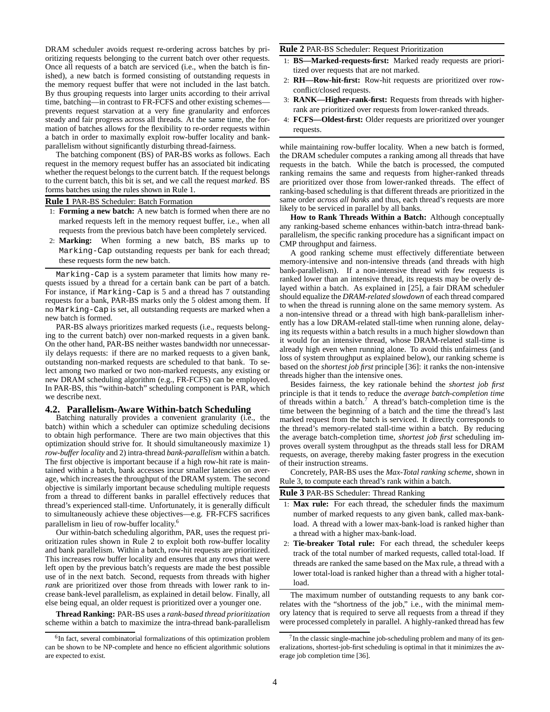DRAM scheduler avoids request re-ordering across batches by prioritizing requests belonging to the current batch over other requests. Once all requests of a batch are serviced (i.e., when the batch is finished), a new batch is formed consisting of outstanding requests in the memory request buffer that were not included in the last batch. By thus grouping requests into larger units according to their arrival time, batching—in contrast to FR-FCFS and other existing schemes prevents request starvation at a very fine granularity and enforces steady and fair progress across all threads. At the same time, the formation of batches allows for the flexibility to re-order requests within a batch in order to maximally exploit row-buffer locality and bankparallelism without significantly disturbing thread-fairness.

The batching component (BS) of PAR-BS works as follows. Each request in the memory request buffer has an associated bit indicating whether the request belongs to the current batch. If the request belongs to the current batch, this bit is set, and we call the request *marked*. BS forms batches using the rules shown in Rule 1.

#### **Rule 1** PAR-BS Scheduler: Batch Formation

- 1: **Forming a new batch:** A new batch is formed when there are no marked requests left in the memory request buffer, i.e., when all requests from the previous batch have been completely serviced.
- 2: **Marking:** When forming a new batch, BS marks up to Marking-Cap outstanding requests per bank for each thread; these requests form the new batch.

Marking-Cap is a system parameter that limits how many requests issued by a thread for a certain bank can be part of a batch. For instance, if Marking-Cap is 5 and a thread has 7 outstanding requests for a bank, PAR-BS marks only the 5 oldest among them. If no Marking-Cap is set, all outstanding requests are marked when a new batch is formed.

PAR-BS always prioritizes marked requests (i.e., requests belonging to the current batch) over non-marked requests in a given bank. On the other hand, PAR-BS neither wastes bandwidth nor unnecessarily delays requests: if there are no marked requests to a given bank, outstanding non-marked requests are scheduled to that bank. To select among two marked or two non-marked requests, any existing or new DRAM scheduling algorithm (e.g., FR-FCFS) can be employed. In PAR-BS, this "within-batch" scheduling component is PAR, which we describe next.

# **4.2. Parallelism-Aware Within-batch Scheduling**

Batching naturally provides a convenient granularity (i.e., the batch) within which a scheduler can optimize scheduling decisions to obtain high performance. There are two main objectives that this optimization should strive for. It should simultaneously maximize 1) *row-buffer locality* and 2) intra-thread *bank-parallelism* within a batch. The first objective is important because if a high row-hit rate is maintained within a batch, bank accesses incur smaller latencies on average, which increases the throughput of the DRAM system. The second objective is similarly important because scheduling multiple requests from a thread to different banks in parallel effectively reduces that thread's experienced stall-time. Unfortunately, it is generally difficult to simultaneously achieve these objectives—e.g. FR-FCFS sacrifices parallelism in lieu of row-buffer locality.<sup>6</sup>

Our within-batch scheduling algorithm, PAR, uses the request prioritization rules shown in Rule 2 to exploit both row-buffer locality and bank parallelism. Within a batch, row-hit requests are prioritized. This increases row buffer locality and ensures that any rows that were left open by the previous batch's requests are made the best possible use of in the next batch. Second, requests from threads with higher *rank* are prioritized over those from threads with lower rank to increase bank-level parallelism, as explained in detail below. Finally, all else being equal, an older request is prioritized over a younger one.

**Thread Ranking:** PAR-BS uses a *rank-based thread prioritization* scheme within a batch to maximize the intra-thread bank-parallelism

#### **Rule 2** PAR-BS Scheduler: Request Prioritization

- 1: **BS—Marked-requests-first:** Marked ready requests are prioritized over requests that are not marked.
- 2: **RH—Row-hit-first:** Row-hit requests are prioritized over rowconflict/closed requests.
- 3: **RANK—Higher-rank-first:** Requests from threads with higherrank are prioritized over requests from lower-ranked threads.
- 4: **FCFS—Oldest-first:** Older requests are prioritized over younger requests.

while maintaining row-buffer locality. When a new batch is formed, the DRAM scheduler computes a ranking among all threads that have requests in the batch. While the batch is processed, the computed ranking remains the same and requests from higher-ranked threads are prioritized over those from lower-ranked threads. The effect of ranking-based scheduling is that different threads are prioritized in the same order *across all banks* and thus, each thread's requests are more likely to be serviced in parallel by all banks.

**How to Rank Threads Within a Batch:** Although conceptually any ranking-based scheme enhances within-batch intra-thread bankparallelism, the specific ranking procedure has a significant impact on CMP throughput and fairness.

A good ranking scheme must effectively differentiate between memory-intensive and non-intensive threads (and threads with high bank-parallelism). If a non-intensive thread with few requests is ranked lower than an intensive thread, its requests may be overly delayed within a batch. As explained in [25], a fair DRAM scheduler should equalize the *DRAM-related slowdown* of each thread compared to when the thread is running alone on the same memory system. As a non-intensive thread or a thread with high bank-parallelism inherently has a low DRAM-related stall-time when running alone, delaying its requests within a batch results in a much higher slowdown than it would for an intensive thread, whose DRAM-related stall-time is already high even when running alone. To avoid this unfairness (and loss of system throughput as explained below), our ranking scheme is based on the *shortest job first* principle [36]: it ranks the non-intensive threads higher than the intensive ones.

Besides fairness, the key rationale behind the *shortest job first* principle is that it tends to reduce the *average batch-completion time* of threads within a batch.<sup>7</sup> A thread's batch-completion time is the time between the beginning of a batch and the time the thread's last marked request from the batch is serviced. It directly corresponds to the thread's memory-related stall-time within a batch. By reducing the average batch-completion time, *shortest job first* scheduling improves overall system throughput as the threads stall less for DRAM requests, on average, thereby making faster progress in the execution of their instruction streams.

Concretely, PAR-BS uses the *Max-Total ranking scheme*, shown in Rule 3, to compute each thread's rank within a batch.

#### **Rule 3** PAR-BS Scheduler: Thread Ranking

- 1: **Max rule:** For each thread, the scheduler finds the maximum number of marked requests to any given bank, called max-bankload. A thread with a lower max-bank-load is ranked higher than a thread with a higher max-bank-load.
- 2: **Tie-breaker Total rule:** For each thread, the scheduler keeps track of the total number of marked requests, called total-load. If threads are ranked the same based on the Max rule, a thread with a lower total-load is ranked higher than a thread with a higher totalload.

The maximum number of outstanding requests to any bank correlates with the "shortness of the job," i.e., with the minimal memory latency that is required to serve all requests from a thread if they were processed completely in parallel. A highly-ranked thread has few

<sup>&</sup>lt;sup>6</sup>In fact, several combinatorial formalizations of this optimization problem can be shown to be NP-complete and hence no efficient algorithmic solutions are expected to exist.

 $7$ In the classic single-machine job-scheduling problem and many of its generalizations, shortest-job-first scheduling is optimal in that it minimizes the average job completion time [36].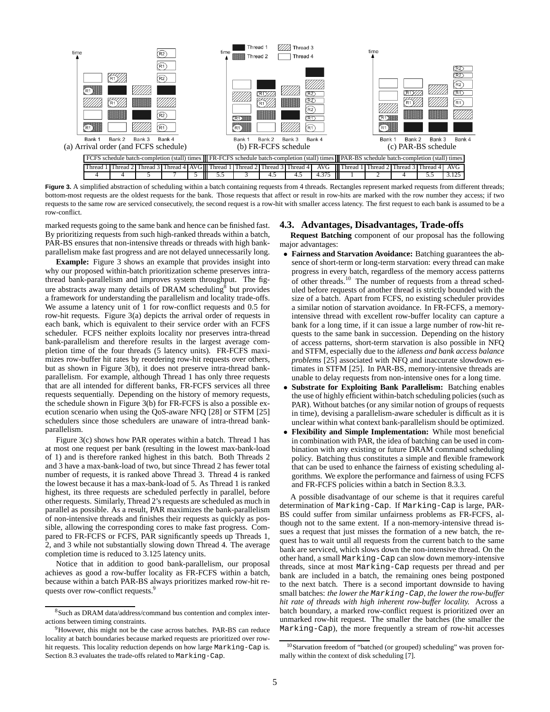

Figure 3. A simplified abstraction of scheduling within a batch containing requests from 4 threads. Rectangles represent marked requests from different threads; bottom-most requests are the oldest requests for the bank. Those requests that affect or result in row-hits are marked with the row number they access; if two requests to the same row are serviced consecutively, the second request is a row-hit with smaller access latency. The first request to each bank is assumed to be a row-conflict.

marked requests going to the same bank and hence can be finished fast. By prioritizing requests from such high-ranked threads within a batch, PAR-BS ensures that non-intensive threads or threads with high bankparallelism make fast progress and are not delayed unnecessarily long.

**Example:** Figure 3 shows an example that provides insight into why our proposed within-batch prioritization scheme preserves intrathread bank-parallelism and improves system throughput. The figure abstracts away many details of DRAM scheduling<sup>8</sup> but provides a framework for understanding the parallelism and locality trade-offs. We assume a latency unit of 1 for row-conflict requests and 0.5 for row-hit requests. Figure 3(a) depicts the arrival order of requests in each bank, which is equivalent to their service order with an FCFS scheduler. FCFS neither exploits locality nor preserves intra-thread bank-parallelism and therefore results in the largest average completion time of the four threads (5 latency units). FR-FCFS maximizes row-buffer hit rates by reordering row-hit requests over others, but as shown in Figure 3(b), it does not preserve intra-thread bankparallelism. For example, although Thread 1 has only three requests that are all intended for different banks, FR-FCFS services all three requests sequentially. Depending on the history of memory requests, the schedule shown in Figure 3(b) for FR-FCFS is also a possible execution scenario when using the QoS-aware NFQ [28] or STFM [25] schedulers since those schedulers are unaware of intra-thread bankparallelism.

Figure 3(c) shows how PAR operates within a batch. Thread 1 has at most one request per bank (resulting in the lowest max-bank-load of 1) and is therefore ranked highest in this batch. Both Threads 2 and 3 have a max-bank-load of two, but since Thread 2 has fewer total number of requests, it is ranked above Thread 3. Thread 4 is ranked the lowest because it has a max-bank-load of 5. As Thread 1 is ranked highest, its three requests are scheduled perfectly in parallel, before other requests. Similarly, Thread 2's requests are scheduled as much in parallel as possible. As a result, PAR maximizes the bank-parallelism of non-intensive threads and finishes their requests as quickly as possible, allowing the corresponding cores to make fast progress. Compared to FR-FCFS or FCFS, PAR significantly speeds up Threads 1, 2, and 3 while not substantially slowing down Thread 4. The average completion time is reduced to 3.125 latency units.

Notice that in addition to good bank-parallelism, our proposal achieves as good a row-buffer locality as FR-FCFS within a batch, because within a batch PAR-BS always prioritizes marked row-hit requests over row-conflict requests.<sup>9</sup>

## **4.3. Advantages, Disadvantages, Trade-offs**

**Request Batching** component of our proposal has the following major advantages:

- **Fairness and Starvation Avoidance:** Batching guarantees the absence of short-term or long-term starvation: every thread can make progress in every batch, regardless of the memory access patterns of other threads.<sup>10</sup> The number of requests from a thread scheduled before requests of another thread is strictly bounded with the size of a batch. Apart from FCFS, no existing scheduler provides a similar notion of starvation avoidance. In FR-FCFS, a memoryintensive thread with excellent row-buffer locality can capture a bank for a long time, if it can issue a large number of row-hit requests to the same bank in succession. Depending on the history of access patterns, short-term starvation is also possible in NFQ and STFM, especially due to the *idleness and bank access balance problems* [25] associated with NFQ and inaccurate slowdown estimates in STFM [25]. In PAR-BS, memory-intensive threads are unable to delay requests from non-intensive ones for a long time.
- **Substrate for Exploiting Bank Parallelism:** Batching enables the use of highly efficient within-batch scheduling policies (such as PAR). Without batches (or any similar notion of groups of requests in time), devising a parallelism-aware scheduler is difficult as it is unclear within what context bank-parallelism should be optimized.
- **Flexibility and Simple Implementation:** While most beneficial in combination with PAR, the idea of batching can be used in combination with any existing or future DRAM command scheduling policy. Batching thus constitutes a simple and flexible framework that can be used to enhance the fairness of existing scheduling algorithms. We explore the performance and fairness of using FCFS and FR-FCFS policies within a batch in Section 8.3.3.

A possible disadvantage of our scheme is that it requires careful determination of Marking-Cap. If Marking-Cap is large, PAR-BS could suffer from similar unfairness problems as FR-FCFS, although not to the same extent. If a non-memory-intensive thread issues a request that just misses the formation of a new batch, the request has to wait until all requests from the current batch to the same bank are serviced, which slows down the non-intensive thread. On the other hand, a small Marking-Cap can slow down memory-intensive threads, since at most Marking-Cap requests per thread and per bank are included in a batch, the remaining ones being postponed to the next batch. There is a second important downside to having small batches: *the lower the* Marking-Cap*, the lower the row-buffer hit rate of threads with high inherent row-buffer locality.* Across a batch boundary, a marked row-conflict request is prioritized over an unmarked row-hit request. The smaller the batches (the smaller the Marking-Cap), the more frequently a stream of row-hit accesses

<sup>8</sup>Such as DRAM data/address/command bus contention and complex interactions between timing constraints.

<sup>&</sup>lt;sup>9</sup>However, this might not be the case across batches. PAR-BS can reduce locality at batch boundaries because marked requests are prioritized over rowhit requests. This locality reduction depends on how large Marking-Cap is. Section 8.3 evaluates the trade-offs related to Marking-Cap.

<sup>10</sup>Starvation freedom of "batched (or grouped) scheduling" was proven formally within the context of disk scheduling [7].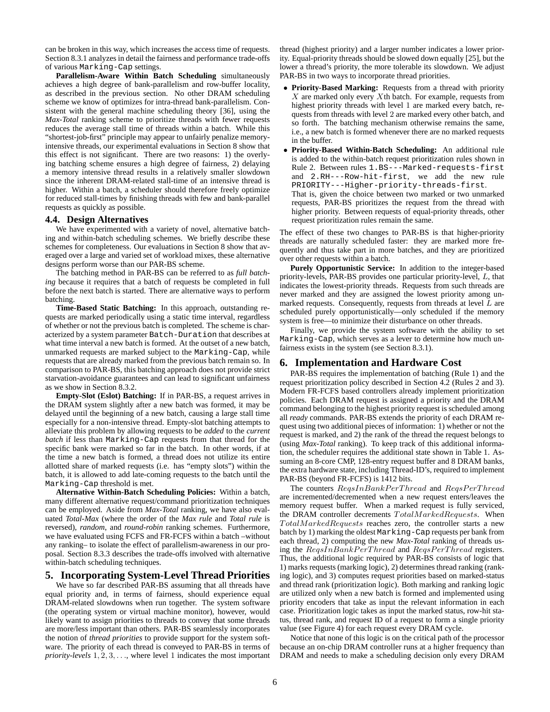can be broken in this way, which increases the access time of requests. Section 8.3.1 analyzes in detail the fairness and performance trade-offs of various Marking-Cap settings.

**Parallelism-Aware Within Batch Scheduling** simultaneously achieves a high degree of bank-parallelism and row-buffer locality, as described in the previous section. No other DRAM scheduling scheme we know of optimizes for intra-thread bank-parallelism. Consistent with the general machine scheduling theory [36], using the *Max-Total* ranking scheme to prioritize threads with fewer requests reduces the average stall time of threads within a batch. While this "shortest-job-first" principle may appear to unfairly penalize memoryintensive threads, our experimental evaluations in Section 8 show that this effect is not significant. There are two reasons: 1) the overlying batching scheme ensures a high degree of fairness, 2) delaying a memory intensive thread results in a relatively smaller slowdown since the inherent DRAM-related stall-time of an intensive thread is higher. Within a batch, a scheduler should therefore freely optimize for reduced stall-times by finishing threads with few and bank-parallel requests as quickly as possible.

#### **4.4. Design Alternatives**

We have experimented with a variety of novel, alternative batching and within-batch scheduling schemes. We briefly describe these schemes for completeness. Our evaluations in Section 8 show that averaged over a large and varied set of workload mixes, these alternative designs perform worse than our PAR-BS scheme.

The batching method in PAR-BS can be referred to as *full batching* because it requires that a batch of requests be completed in full before the next batch is started. There are alternative ways to perform batching.

**Time-Based Static Batching:** In this approach, outstanding requests are marked periodically using a static time interval, regardless of whether or not the previous batch is completed. The scheme is characterized by a system parameter Batch-Duration that describes at what time interval a new batch is formed. At the outset of a new batch, unmarked requests are marked subject to the Marking-Cap, while requests that are already marked from the previous batch remain so. In comparison to PAR-BS, this batching approach does not provide strict starvation-avoidance guarantees and can lead to significant unfairness as we show in Section 8.3.2.

**Empty-Slot (Eslot) Batching:** If in PAR-BS, a request arrives in the DRAM system slightly after a new batch was formed, it may be delayed until the beginning of a new batch, causing a large stall time especially for a non-intensive thread. Empty-slot batching attempts to alleviate this problem by allowing requests to be *added* to the *current batch* if less than Marking-Cap requests from that thread for the specific bank were marked so far in the batch. In other words, if at the time a new batch is formed, a thread does not utilize its entire allotted share of marked requests (i.e. has "empty slots") within the batch, it is allowed to add late-coming requests to the batch until the Marking-Cap threshold is met.

**Alternative Within-Batch Scheduling Policies:** Within a batch, many different alternative request/command prioritization techniques can be employed. Aside from *Max-Total* ranking, we have also evaluated *Total-Max* (where the order of the *Max rule* and *Total rule* is reversed), *random*, and *round-robin* ranking schemes. Furthermore, we have evaluated using FCFS and FR-FCFS within a batch –without any ranking– to isolate the effect of parallelism-awareness in our proposal. Section 8.3.3 describes the trade-offs involved with alternative within-batch scheduling techniques.

# **5. Incorporating System-Level Thread Priorities**

We have so far described PAR-BS assuming that all threads have equal priority and, in terms of fairness, should experience equal DRAM-related slowdowns when run together. The system software (the operating system or virtual machine monitor), however, would likely want to assign priorities to threads to convey that some threads are more/less important than others. PAR-BS seamlessly incorporates the notion of *thread priorities* to provide support for the system software. The priority of each thread is conveyed to PAR-BS in terms of *priority-levels* 1, 2, 3, . . ., where level 1 indicates the most important

thread (highest priority) and a larger number indicates a lower priority. Equal-priority threads should be slowed down equally [25], but the lower a thread's priority, the more tolerable its slowdown. We adjust PAR-BS in two ways to incorporate thread priorities.

- **Priority-Based Marking:** Requests from a thread with priority  $X$  are marked only every  $X$ th batch. For example, requests from highest priority threads with level 1 are marked every batch, requests from threads with level 2 are marked every other batch, and so forth. The batching mechanism otherwise remains the same, i.e., a new batch is formed whenever there are no marked requests in the buffer.
- **Priority-Based Within-Batch Scheduling:** An additional rule is added to the within-batch request prioritization rules shown in Rule 2. Between rules 1.BS---Marked-requests-first and 2.RH---Row-hit-first, we add the new rule PRIORITY---Higher-priority-threads-first. That is, given the choice between two marked or two unmarked requests, PAR-BS prioritizes the request from the thread with higher priority. Between requests of equal-priority threads, other request prioritization rules remain the same.

The effect of these two changes to PAR-BS is that higher-priority threads are naturally scheduled faster: they are marked more frequently and thus take part in more batches, and they are prioritized over other requests within a batch.

**Purely Opportunistic Service:** In addition to the integer-based priority-levels, PAR-BS provides one particular priority-level, L, that indicates the lowest-priority threads. Requests from such threads are never marked and they are assigned the lowest priority among unmarked requests. Consequently, requests from threads at level L are scheduled purely opportunistically—only scheduled if the memory system is free—to minimize their disturbance on other threads.

Finally, we provide the system software with the ability to set Marking-Cap, which serves as a lever to determine how much unfairness exists in the system (see Section 8.3.1).

## **6. Implementation and Hardware Cost**

PAR-BS requires the implementation of batching (Rule 1) and the request prioritization policy described in Section 4.2 (Rules 2 and 3). Modern FR-FCFS based controllers already implement prioritization policies. Each DRAM request is assigned a priority and the DRAM command belonging to the highest priority request is scheduled among all *ready* commands. PAR-BS extends the priority of each DRAM request using two additional pieces of information: 1) whether or not the request is marked, and 2) the rank of the thread the request belongs to (using *Max-Total* ranking). To keep track of this additional information, the scheduler requires the additional state shown in Table 1. Assuming an 8-core CMP, 128-entry request buffer and 8 DRAM banks, the extra hardware state, including Thread-ID's, required to implement PAR-BS (beyond FR-FCFS) is 1412 bits.

The counters  $RegsInBank PerThread$  and  $RegsPerThread$ are incremented/decremented when a new request enters/leaves the memory request buffer. When a marked request is fully serviced, the DRAM controller decrements  $TotalMarketRequests$ . When  $TotalMarket dequests$  reaches zero, the controller starts a new batch by 1) marking the oldest Marking-Cap requests per bank from each thread, 2) computing the new *Max-Total* ranking of threads using the ReqsInBankPerThread and ReqsPerThread registers. Thus, the additional logic required by PAR-BS consists of logic that 1) marks requests (marking logic), 2) determines thread ranking (ranking logic), and 3) computes request priorities based on marked-status and thread rank (prioritization logic). Both marking and ranking logic are utilized only when a new batch is formed and implemented using priority encoders that take as input the relevant information in each case. Prioritization logic takes as input the marked status, row-hit status, thread rank, and request ID of a request to form a single priority value (see Figure 4) for each request every DRAM cycle.

Notice that none of this logic is on the critical path of the processor because an on-chip DRAM controller runs at a higher frequency than DRAM and needs to make a scheduling decision only every DRAM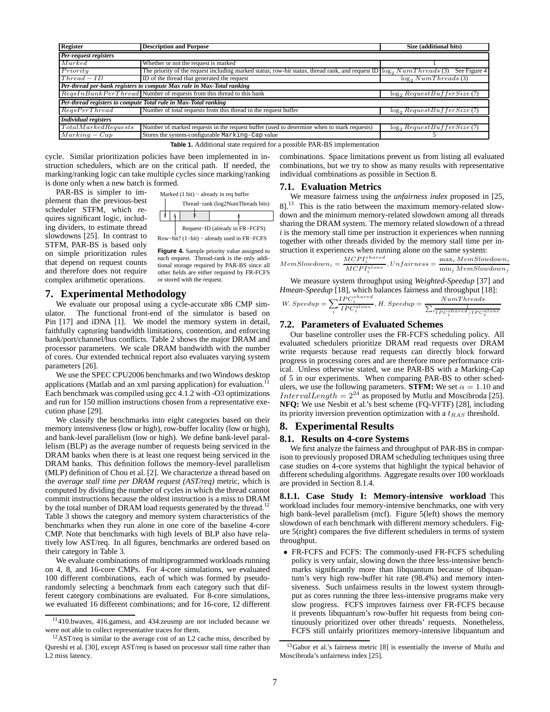| <b>Register</b>                                                               | <b>Description and Purpose</b>                                                                                           | Size (additional bits)          |  |  |  |  |  |  |  |
|-------------------------------------------------------------------------------|--------------------------------------------------------------------------------------------------------------------------|---------------------------------|--|--|--|--|--|--|--|
| Per-request registers                                                         |                                                                                                                          |                                 |  |  |  |  |  |  |  |
| Marked                                                                        | Whether or not the request is marked                                                                                     |                                 |  |  |  |  |  |  |  |
| Priority                                                                      | The priority of the request including marked status, row-hit status, thread rank, and request ID $\log_2 NumThreads$ (3) | See Figure 4                    |  |  |  |  |  |  |  |
| $Thread - ID$                                                                 | ID of the thread that generated the request                                                                              | $log_2 NumThreads (3)$          |  |  |  |  |  |  |  |
| Per-thread per-bank registers to compute Max rule in Max-Total ranking        |                                                                                                                          |                                 |  |  |  |  |  |  |  |
| $\text{ReqsInBankPerThread}$ Number of requests from this thread to this bank | $log_2$ Request Buffer Size (7)                                                                                          |                                 |  |  |  |  |  |  |  |
| Per-thread registers to compute Total rule in Max-Total ranking               |                                                                                                                          |                                 |  |  |  |  |  |  |  |
| ReqsPerThread                                                                 | Number of total requests from this thread in the request buffer                                                          | $log_2$ Request Buffer Size (7) |  |  |  |  |  |  |  |
| <b>Individual registers</b>                                                   |                                                                                                                          |                                 |  |  |  |  |  |  |  |
| Total Market Requests                                                         | Number of marked requests in the request buffer (used to determine when to mark requests)                                | $log_2$ RequestBufferSize (7)   |  |  |  |  |  |  |  |
| $\overline{Marking} - Cap$                                                    | Stores the system-configurable Marking-Cap value                                                                         |                                 |  |  |  |  |  |  |  |
|                                                                               | _______________                                                                                                          |                                 |  |  |  |  |  |  |  |

**Table 1.** Additional state required for a possible PAR-BS implementation

cycle. Similar prioritization policies have been implemented in instruction schedulers, which are on the critical path. If needed, the marking/ranking logic can take multiple cycles since marking/ranking is done only when a new batch is formed.

PAR-BS is simpler to implement than the previous-best scheduler STFM, which requires significant logic, including dividers, to estimate thread slowdowns [25]. In contrast to STFM, PAR-BS is based only on simple prioritization rules that depend on request counts and therefore does not require complex arithmetic operations.

Marked (1 bit) − already in req buffer



**Figure 4.** Sample priority value assigned to each request. Thread-rank is the only additional storage required by PAR-BS since all other fields are either required by FR-FCFS or stored with the request.

# **7. Experimental Methodology**

We evaluate our proposal using a cycle-accurate x86 CMP simulator. The functional front-end of the simulator is based on Pin [17] and iDNA [1]. We model the memory system in detail, faithfully capturing bandwidth limitations, contention, and enforcing bank/port/channel/bus conflicts. Table 2 shows the major DRAM and processor parameters. We scale DRAM bandwidth with the number of cores. Our extended technical report also evaluates varying system parameters [26].

We use the SPEC CPU2006 benchmarks and two Windows desktop applications (Matlab and an xml parsing application) for evaluation.<sup>1</sup> Each benchmark was compiled using gcc 4.1.2 with -O3 optimizations and run for 150 million instructions chosen from a representative execution phase [29].

We classify the benchmarks into eight categories based on their memory intensiveness (low or high), row-buffer locality (low or high), and bank-level parallelism (low or high). We define bank-level parallelism (BLP) as the average number of requests being serviced in the DRAM banks when there is at least one request being serviced in the DRAM banks. This definition follows the memory-level parallelism (MLP) definition of Chou et al. [2]. We characterize a thread based on the *average stall time per DRAM request (AST/req)* metric, which is computed by dividing the number of cycles in which the thread cannot commit instructions because the oldest instruction is a miss to DRAM by the total number of DRAM load requests generated by the thread.<sup>12</sup> Table 3 shows the category and memory system characteristics of the benchmarks when they run alone in one core of the baseline 4-core CMP. Note that benchmarks with high levels of BLP also have relatively low AST/req. In all figures, benchmarks are ordered based on their category in Table 3.

We evaluate combinations of multiprogrammed workloads running on 4, 8, and 16-core CMPs. For 4-core simulations, we evaluated 100 different combinations, each of which was formed by pseudorandomly selecting a benchmark from each category such that different category combinations are evaluated. For 8-core simulations, we evaluated 16 different combinations; and for 16-core, 12 different

combinations. Space limitations prevent us from listing all evaluated combinations, but we try to show as many results with representative individual combinations as possible in Section 8.

## **7.1. Evaluation Metrics**

We measure fairness using the *unfairness index* proposed in [25,  $8$ <sup>13</sup> This is the ratio between the maximum memory-related slowdown and the minimum memory-related slowdown among all threads sharing the DRAM system. The memory related slowdown of a thread *i* is the memory stall time per instruction it experiences when running together with other threads divided by the memory stall time per instruction it experiences when running alone on the same system:

$$
MemSlowdown_i = \frac{MCPI^{shared}_i}{MCPI^{alone}_i}, Unfairness = \frac{\max_i MemSlowdown_i}{\min_j MemSlowdown_j}
$$

We measure system throughput using *Weighted-Speedup* [37] and *Hmean-Speedup* [18], which balances fairness and throughput [18]:

$$
W. \ Speedup = \sum_{i} \frac{IPC^{shared}_{i}}{IPC^{alone}_{i}}, H. \ Speedup = \frac{NumThreads}{\sum_{i} \frac{1}{IPC^{shared}_{i}/IPC^{alone}_{i}}}
$$

## **7.2. Parameters of Evaluated Schemes**

Our baseline controller uses the FR-FCFS scheduling policy. All evaluated schedulers prioritize DRAM read requests over DRAM write requests because read requests can directly block forward progress in processing cores and are therefore more performance critical. Unless otherwise stated, we use PAR-BS with a Marking-Cap of 5 in our experiments. When comparing PAR-BS to other schedulers, we use the following parameters. **STFM:** We set  $\alpha = 1.10$  and *IntervalLength* =  $2^{24}$  as proposed by Mutlu and Moscibroda [25]. **NFQ:** We use Nesbit et al.'s best scheme (FQ-VFTF) [28], including its priority inversion prevention optimization with a  $t_{RAS}$  threshold.

## **8. Experimental Results**

#### **8.1. Results on 4-core Systems**

We first analyze the fairness and throughput of PAR-BS in comparison to previously proposed DRAM scheduling techniques using three case studies on 4-core systems that highlight the typical behavior of different scheduling algorithms. Aggregate results over 100 workloads are provided in Section 8.1.4.

**8.1.1. Case Study I: Memory-intensive workload** This workload includes four memory-intensive benchmarks, one with very high bank-level parallelism (mcf). Figure 5(left) shows the memory slowdown of each benchmark with different memory schedulers. Figure 5(right) compares the five different schedulers in terms of system throughput.

• FR-FCFS and FCFS: The commonly-used FR-FCFS scheduling policy is very unfair, slowing down the three less-intensive benchmarks significantly more than libquantum because of libquantum's very high row-buffer hit rate (98.4%) and memory intensiveness. Such unfairness results in the lowest system throughput as cores running the three less-intensive programs make very slow progress. FCFS improves fairness over FR-FCFS because it prevents libquantum's row-buffer hit requests from being continuously prioritized over other threads' requests. Nonetheless, FCFS still unfairly prioritizes memory-intensive libquantum and

<sup>11</sup>410.bwaves, 416.gamess, and 434.zeusmp are not included because we were not able to collect representative traces for them.

 $12$ AST/req is similar to the average cost of an L2 cache miss, described by Qureshi et al. [30], except AST/req is based on processor stall time rather than L2 miss latency.

<sup>&</sup>lt;sup>13</sup>Gabor et al.'s fairness metric [8] is essentially the inverse of Mutlu and Moscibroda's unfairness index [25].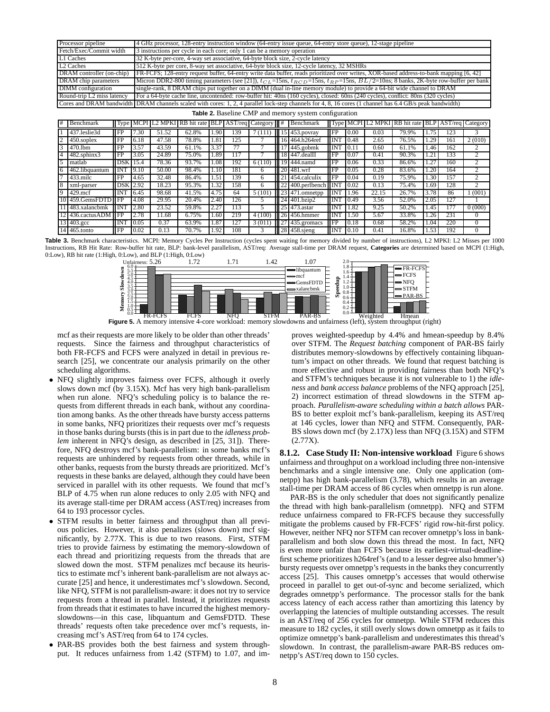| Processor pipeline         | 4 GHz processor, 128-entry instruction window (64-entry issue queue, 64-entry store queue), 12-stage pipeline                                            |
|----------------------------|----------------------------------------------------------------------------------------------------------------------------------------------------------|
| Fetch/Exec/Commit width    | 3 instructions per cycle in each core; only 1 can be a memory operation                                                                                  |
| L1 Caches                  | 32 K-byte per-core, 4-way set associative, 64-byte block size, 2-cycle latency                                                                           |
| L <sub>2</sub> Caches      | 512 K-byte per core, 8-way set associative, 64-byte block size, 12-cycle latency, 32 MSHRs                                                               |
| DRAM controller (on-chip)  | [FR-FCFS; 128-entry request buffer, 64-entry write data buffer, reads prioritized over writes, XOR-based address-to-bank mapping [6, 42]                 |
| DRAM chip parameters       | Micron DDR2-800 timing parameters (see [21]), $t_{CL}$ =15ns, $t_{RCD}$ =15ns, $t_{RP}$ =15ns, $BL/2$ =10ns; 8 banks, 2K-byte row-buffer per bank        |
| DIMM configuration         | single-rank, 8 DRAM chips put together on a DIMM (dual in-line memory module) to provide a 64-bit wide channel to DRAM                                   |
| Round-trip L2 miss latency | For a 64-byte cache line, uncontended: row-buffer hit: 40ns (160 cycles), closed: 60ns (240 cycles), conflict: 80ns (320 cycles)                         |
|                            | Cores and DRAM bandwidth DRAM channels scaled with cores: 1, 2, 4 parallel lock-step channels for 4, 8, 16 cores (1 channel has 6.4 GB/s peak bandwidth) |

|                | <b>Table 2.</b> Baseline CMP and memory system configuration |                 |      |       |                                                         |      |     |             |                  |                                 |              |                   |       |                                          |      |     |                |
|----------------|--------------------------------------------------------------|-----------------|------|-------|---------------------------------------------------------|------|-----|-------------|------------------|---------------------------------|--------------|-------------------|-------|------------------------------------------|------|-----|----------------|
| #              | Benchmark                                                    |                 |      |       | Type MCPI L2 MPKI RB hit rate BLP AST/req Category    # |      |     |             |                  | Benchmark                       | Type MCPI    |                   |       | L2 MPKI RB hit rate BLP AST/req Category |      |     |                |
|                | 437.leslie3d                                                 | FP              | 7.30 | 51.52 | 62.8%                                                   | 1.90 | 139 | 7(111)      |                  | $  $ 15 453. povrav             | ll FP        | 0.00              | 0.03  | 79.9%                                    | 1.75 | 123 |                |
|                | 450.soplex                                                   | <b>FP</b>       | 6.18 | 47.58 | 78.8%                                                   | 1.81 | 125 |             | 16 I             | 464.h264ref                     | <b>INT</b>   | 0.48              | 2.65  | 76.5%                                    | 1.29 | 161 | 2(010)         |
| 3              | 470.1bm                                                      | FP              | 3.57 | 43.59 | 61.1%                                                   | 3.37 | 77  |             |                  | 445.gobmk                       | <b>INT</b>   | 0.11              | 0.60  | 61.1%                                    | l.46 | 162 | 2              |
|                | $482$ .sphinx $3$                                            | <b>IFP</b>      | 3.05 | 24.89 | 75.0%                                                   | 1.89 | 117 |             | 181              | $447$ .dealII                   | I FP         | $\overline{0.07}$ | 0.41  | 90.3%                                    | 1.21 | 133 | 2              |
| 5              | matlab                                                       | <b>DSK</b> 15.4 |      | 78.36 | 93.7%                                                   | 1.08 | 192 | 6(110)<br>Ш |                  | 444.namd                        | I FP         | 0.06              | 0.33  | 86.6%                                    | .27  | 160 | 2              |
| 6              | 462.libquantum                                               | <b>INT</b>      | 9.10 | 50.00 | 98.4%                                                   | .10  | 181 | 6           |                  | 20 481.wrf                      | $_{\rm IFP}$ | 0.05              | 0.28  | 83.6%                                    | 1.20 | 164 | 2              |
| $\overline{7}$ | 433.milc                                                     | FP              | 4.65 | 32.48 | 86.4%                                                   | .51  | 139 | 6           |                  | 454.calculix                    | <b>IIFP</b>  | 0.04              | 0.19  | 75.9%                                    | 1.30 | 157 | 2              |
| 8              | xml-parser                                                   | <b>DSK</b> 2.92 |      | 18.23 | 95.3%                                                   | 1.32 | 158 | 6           |                  | $  22  400$ .perlbench $  $ INT |              | 0.02              | 0.13  | 75.4%                                    | 1.69 | 128 | 2              |
| 9              | $429$ mcf                                                    | <b>INT</b>      | 6.45 | 98.68 | 41.5%                                                   | 4.75 | 64  | Ш<br>5(101) | 23               | $\overline{47}1$ .omnetpp       | <b>INT</b>   | 1.96              | 22.15 | 26.7%                                    | 3.78 | 86  | 1(001)         |
|                | $10$  459.GemsFDTD  FP                                       |                 | 4.08 | 29.95 | 20.4%                                                   | 2.40 | 126 |             |                  | 24 401 bzip2                    | <b>INT</b>   | 0.49              | 3.56  | 52.0%                                    | 2.05 | 127 |                |
|                | $\sqrt{483.xal}$ ancbmk                                      | <b>INT</b>      | 2.80 | 23.52 | 59.8%                                                   | 2.27 | 113 | C.          |                  | 125 473. astar                  | <b>INT</b>   | 1.82              | 9.25  | 50.2%                                    | 1.45 | 177 | 0(000)         |
|                | 12 436. cactus ADM IFP                                       |                 | 2.78 | 11.68 | 6.75%                                                   | 1.60 | 219 | 4(100)      | 1126             | 456.hmmer                       | <b>INT</b>   | 1.50              | 5.67  | 33.8%                                    | 1.26 | 231 | $\Omega$       |
|                | 13 403.gcc                                                   | <b>INT</b>      | 0.05 | 0.37  | 63.9%                                                   | 1.87 | 127 | 3(011)      | $\mathsf{II}$ 27 | 435.gromacs                     | <b>IFP</b>   | 0.18              | 0.68  | 58.2%                                    | 1.04 | 220 | $\overline{0}$ |
|                | 14 465, tonto                                                | <b>FP</b>       | 0.02 | 0.13  | 70.7%                                                   | l.92 | 108 |             |                  | 28 458 sjeng                    | <b>INT</b>   | 0.10              | 0.41  | 16.8%                                    | 1.53 | 192 | $\Omega$       |

Table 3. Benchmark characteristics. MCPI: Memory Cycles Per Instruction (cycles spent waiting for memory divided by number of instructions), L2 MPKI: L2 Misses per 1000 Instructions, RB Hit Rate: Row-buffer hit rate, BLP: bank-level parallelism, AST/req: Average stall-time per DRAM request, **Categories** are determined based on MCPI (1:High, 0:Low), RB hit rate (1:High, 0:Low), and BLP (1:High, 0:Low)





mcf as their requests are more likely to be older than other threads' requests. Since the fairness and throughput characteristics of both FR-FCFS and FCFS were analyzed in detail in previous research [25], we concentrate our analysis primarily on the other scheduling algorithms.

- NFO slightly improves fairness over FCFS, although it overly slows down mcf (by 3.15X). Mcf has very high bank-parallelism when run alone. NFQ's scheduling policy is to balance the requests from different threads in each bank, without any coordination among banks. As the other threads have bursty access patterns in some banks, NFQ prioritizes their requests over mcf's requests in those banks during bursts (this is in part due to the *idleness problem* inherent in NFQ's design, as described in [25, 31]). Therefore, NFQ destroys mcf's bank-parallelism: in some banks mcf's requests are unhindered by requests from other threads, while in other banks, requests from the bursty threads are prioritized. Mcf's requests in these banks are delayed, although they could have been serviced in parallel with its other requests. We found that mcf's BLP of 4.75 when run alone reduces to only 2.05 with NFQ and its average stall-time per DRAM access (AST/req) increases from 64 to 193 processor cycles.
- STFM results in better fairness and throughput than all previous policies. However, it also penalizes (slows down) mcf significantly, by 2.77X. This is due to two reasons. First, STFM tries to provide fairness by estimating the memory-slowdown of each thread and prioritizing requests from the threads that are slowed down the most. STFM penalizes mcf because its heuristics to estimate mcf's inherent bank-parallelism are not always accurate [25] and hence, it underestimates mcf's slowdown. Second, like NFQ, STFM is not parallelism-aware: it does not try to service requests from a thread in parallel. Instead, it prioritizes requests from threads that it estimates to have incurred the highest memoryslowdowns—in this case, libquantum and GemsFDTD. These threads' requests often take precedence over mcf's requests, increasing mcf's AST/req from 64 to 174 cycles.
- PAR-BS provides both the best fairness and system throughput. It reduces unfairness from 1.42 (STFM) to 1.07, and im-

proves weighted-speedup by 4.4% and hmean-speedup by 8.4% over STFM. The *Request batching* component of PAR-BS fairly distributes memory-slowdowns by effectively containing libquantum's impact on other threads. We found that request batching is more effective and robust in providing fairness than both NFQ's and STFM's techniques because it is not vulnerable to 1) the *idleness* and *bank access balance* problems of the NFQ approach [25], 2) incorrect estimation of thread slowdowns in the STFM approach. *Parallelism-aware scheduling within a batch allows* PAR-BS to better exploit mcf's bank-parallelism, keeping its AST/req at 146 cycles, lower than NFQ and STFM. Consequently, PAR-BS slows down mcf (by 2.17X) less than NFQ (3.15X) and STFM (2.77X).

**8.1.2. Case Study II: Non-intensive workload** Figure 6 shows unfairness and throughput on a workload including three non-intensive benchmarks and a single intensive one. Only one application (omnetpp) has high bank-parallelism (3.78), which results in an average stall-time per DRAM access of 86 cycles when omnetpp is run alone.

PAR-BS is the only scheduler that does not significantly penalize the thread with high bank-parallelism (omnetpp). NFQ and STFM reduce unfairness compared to FR-FCFS because they successfully mitigate the problems caused by FR-FCFS' rigid row-hit-first policy. However, neither NFQ nor STFM can recover omnetpp's loss in bankparallelism and both slow down this thread the most. In fact, NFQ is even more unfair than FCFS because its earliest-virtual-deadlinefirst scheme prioritizes h264ref's (and to a lesser degree also hmmer's) bursty requests over omnetpp's requests in the banks they concurrently access [25]. This causes omnetpp's accesses that would otherwise proceed in parallel to get out-of-sync and become serialized, which degrades omnetpp's performance. The processor stalls for the bank access latency of each access rather than amortizing this latency by overlapping the latencies of multiple outstanding accesses. The result is an AST/req of 256 cycles for omnetpp. While STFM reduces this measure to 182 cycles, it still overly slows down omnetpp as it fails to optimize omnetpp's bank-parallelism and underestimates this thread's slowdown. In contrast, the parallelism-aware PAR-BS reduces omnetpp's AST/req down to 150 cycles.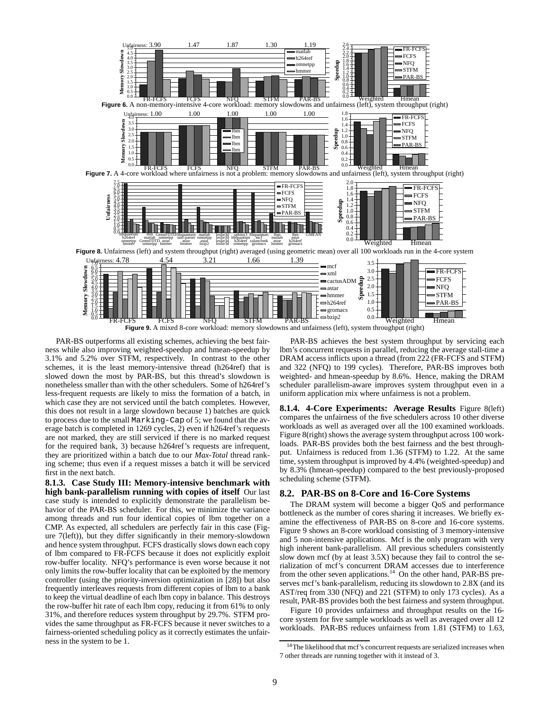

PAR-BS outperforms all existing schemes, achieving the best fairness while also improving weighted-speedup and hmean-speedup by 3.1% and 5.2% over STFM, respectively. In contrast to the other schemes, it is the least memory-intensive thread (h264ref) that is slowed down the most by PAR-BS, but this thread's slowdown is nonetheless smaller than with the other schedulers. Some of h264ref's less-frequent requests are likely to miss the formation of a batch, in which case they are not serviced until the batch completes. However, this does not result in a large slowdown because 1) batches are quick to process due to the small Marking-Cap of 5; we found that the average batch is completed in 1269 cycles, 2) even if h264ref's requests are not marked, they are still serviced if there is no marked request for the required bank, 3) because h264ref's requests are infrequent, they are prioritized within a batch due to our *Max-Total* thread ranking scheme; thus even if a request misses a batch it will be serviced first in the next batch.

**8.1.3. Case Study III: Memory-intensive benchmark with high bank-parallelism running with copies of itself** Our last case study is intended to explicitly demonstrate the parallelism behavior of the PAR-BS scheduler. For this, we minimize the variance among threads and run four identical copies of lbm together on a CMP. As expected, all schedulers are perfectly fair in this case (Figure 7(left)), but they differ significantly in their memory-slowdown and hence system throughput. FCFS drastically slows down each copy of lbm compared to FR-FCFS because it does not explicitly exploit row-buffer locality. NFQ's performance is even worse because it not only limits the row-buffer locality that can be exploited by the memory controller (using the priority-inversion optimization in [28]) but also frequently interleaves requests from different copies of lbm to a bank to keep the virtual deadline of each lbm copy in balance. This destroys the row-buffer hit rate of each lbm copy, reducing it from 61% to only 31%, and therefore reduces system throughput by 29.7%. STFM provides the same throughput as FR-FCFS because it never switches to a fairness-oriented scheduling policy as it correctly estimates the unfairness in the system to be 1.

PAR-BS achieves the best system throughput by servicing each lbm's concurrent requests in parallel, reducing the average stall-time a DRAM access inflicts upon a thread (from 222 (FR-FCFS and STFM) and 322 (NFQ) to 199 cycles). Therefore, PAR-BS improves both weighted- and hmean-speedup by 8.6%. Hence, making the DRAM scheduler parallelism-aware improves system throughput even in a uniform application mix where unfairness is not a problem.

**8.1.4. 4-Core Experiments: Average Results** Figure 8(left) compares the unfairness of the five schedulers across 10 other diverse workloads as well as averaged over all the 100 examined workloads. Figure 8(right) shows the average system throughput across 100 workloads. PAR-BS provides both the best fairness and the best throughput. Unfairness is reduced from 1.36 (STFM) to 1.22. At the same time, system throughput is improved by 4.4% (weighted-speedup) and by 8.3% (hmean-speedup) compared to the best previously-proposed scheduling scheme (STFM).

## **8.2. PAR-BS on 8-Core and 16-Core Systems**

The DRAM system will become a bigger QoS and performance bottleneck as the number of cores sharing it increases. We briefly examine the effectiveness of PAR-BS on 8-core and 16-core systems. Figure 9 shows an 8-core workload consisting of 3 memory-intensive and 5 non-intensive applications. Mcf is the only program with very high inherent bank-parallelism. All previous schedulers consistently slow down mcf (by at least 3.5X) because they fail to control the serialization of mcf's concurrent DRAM accesses due to interference from the other seven applications.<sup>14</sup> On the other hand, PAR-BS preserves mcf's bank-parallelism, reducing its slowdown to 2.8X (and its AST/req from 330 (NFQ) and 221 (STFM) to only 173 cycles). As a result, PAR-BS provides both the best fairness and system throughput.

Figure 10 provides unfairness and throughput results on the 16 core system for five sample workloads as well as averaged over all 12 workloads. PAR-BS reduces unfairness from 1.81 (STFM) to 1.63,

<sup>&</sup>lt;sup>14</sup>The likelihood that mcf's concurrent requests are serialized increases when 7 other threads are running together with it instead of 3.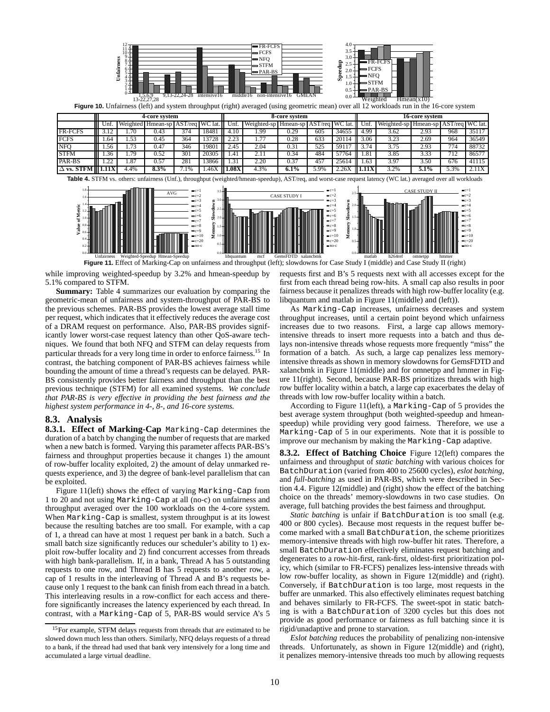

**Figure 10.** Unfairness (left) and system throughput (right) averaged (using geometric mean) over all 12 workloads run in the 16-core system

|                            | 4-core system |      |                                   |         |       |       |                                      | 8-core system |      | 16-core system |                      |                                      |      |      |       |
|----------------------------|---------------|------|-----------------------------------|---------|-------|-------|--------------------------------------|---------------|------|----------------|----------------------|--------------------------------------|------|------|-------|
|                            | Unf.          |      | Weighted Hmean-sp AST/req WC lat. |         |       | Unf.  | Weighted-sp Hmean-sp AST/req WC lat. |               |      |                | Unf.                 | Weighted-sp Hmean-sp AST/req WC lat. |      |      |       |
| <b>FR-FCFS</b>             |               | 1.70 | 0.43                              | 374     | 1848. | 4.10  | 1.99                                 | 0.29          | 605  | 34655          | $\parallel$ 4.99     | 3.62                                 | 2.93 | 968  | 35117 |
| <b>FCFS</b>                | 1.64          | 1.53 | 0.45                              | 364     | 13728 | 22    | 1.77                                 | 0.28          | 633  | 20114          | 3.06<br>Ш            | 3.23                                 | 2.69 | 964  | 36549 |
| <b>NFO</b>                 | 1.56          | 1.15 | 0.47                              | 346     | 1980  | 2.45  | 2.04                                 | 0.31          | 525  | 59117          | 3.74<br>Ш            | 3.75                                 | 2.93 | 774  | 88732 |
| <b>STFM</b>                | 1.36          | 1.79 | 0.52                              | 301     | 20305 | 1.41  | 2.11                                 | 0.34          | 484  | 57764          | 1.81<br>Ш            | 3.85                                 | 3.33 | 712  | 86577 |
| PAR-BS                     | 1.22          | 1.87 | 0.57                              | 281     | 13866 | 1.31  | 2.20                                 | 0.37          | 457  | 25614          | 1.63<br>$\mathbf{H}$ | 3.97                                 | 3.50 | 676  | 41115 |
| $\Delta$ vs. STFM    1.11X |               | 4.4% | 8.3%                              | $7.1\%$ | 1.46X | 1.08X | 4.3%                                 | 6.1%          | 5.9% | 2.26X          | $\parallel$ 1.11X    | 3.2%                                 | 5.1% | 5.3% | 2.11X |

**Table 4.** STFM vs. others: unfairness (Unf.), throughput (weighted/hmean-speedup), AST/req, and worst-case request latency (WC lat.) averaged over all workloads



Unfairness Weighted-Speedup Hmean-Speedup libquantum incf GemsFDTD xalancbmk<br>Figure 11. Effect of Marking-Cap on unfairness and throughput (left); slowdowns for Case Study I (middle) and Case Study II (right)

while improving weighted-speedup by 3.2% and hmean-speedup by 5.1% compared to STFM.

**Summary:** Table 4 summarizes our evaluation by comparing the geometric-mean of unfairness and system-throughput of PAR-BS to the previous schemes. PAR-BS provides the lowest average stall time per request, which indicates that it effectively reduces the average cost of a DRAM request on performance. Also, PAR-BS provides significantly lower worst-case request latency than other QoS-aware techniques. We found that both NFQ and STFM can delay requests from particular threads for a very long time in order to enforce fairness.<sup>15</sup> In contrast, the batching component of PAR-BS achieves fairness while bounding the amount of time a thread's requests can be delayed. PAR-BS consistently provides better fairness and throughput than the best previous technique (STFM) for all examined systems. *We conclude that PAR-BS is very effective in providing the best fairness and the highest system performance in 4-, 8-, and 16-core systems.*

## **8.3. Analysis**

**8.3.1. Effect of Marking-Cap** Marking-Cap determines the duration of a batch by changing the number of requests that are marked when a new batch is formed. Varying this parameter affects PAR-BS's fairness and throughput properties because it changes 1) the amount of row-buffer locality exploited, 2) the amount of delay unmarked requests experience, and 3) the degree of bank-level parallelism that can be exploited.

Figure 11(left) shows the effect of varying Marking-Cap from 1 to 20 and not using Marking-Cap at all (no-c) on unfairness and throughput averaged over the 100 workloads on the 4-core system. When Marking-Cap is smallest, system throughput is at its lowest because the resulting batches are too small. For example, with a cap of 1, a thread can have at most 1 request per bank in a batch. Such a small batch size significantly reduces our scheduler's ability to 1) exploit row-buffer locality and 2) find concurrent accesses from threads with high bank-parallelism. If, in a bank, Thread A has 5 outstanding requests to one row, and Thread B has 5 requests to another row, a cap of 1 results in the interleaving of Thread A and B's requests because only 1 request to the bank can finish from each thread in a batch. This interleaving results in a row-conflict for each access and therefore significantly increases the latency experienced by each thread. In contrast, with a Marking-Cap of 5, PAR-BS would service A's 5

requests first and B's 5 requests next with all accesses except for the first from each thread being row-hits. A small cap also results in poor fairness because it penalizes threads with high row-buffer locality (e.g. libquantum and matlab in Figure 11(middle) and (left)).

As Marking-Cap increases, unfairness decreases and system throughput increases, until a certain point beyond which unfairness increases due to two reasons. First, a large cap allows memoryintensive threads to insert more requests into a batch and thus delays non-intensive threads whose requests more frequently "miss" the formation of a batch. As such, a large cap penalizes less memoryintensive threads as shown in memory slowdowns for GemsFDTD and xalancbmk in Figure 11(middle) and for omnetpp and hmmer in Figure 11(right). Second, because PAR-BS prioritizes threads with high row buffer locality within a batch, a large cap exacerbates the delay of threads with low row-buffer locality within a batch.

According to Figure 11(left), a Marking-Cap of 5 provides the best average system throughput (both weighted-speedup and hmeanspeedup) while providing very good fairness. Therefore, we use a Marking-Cap of 5 in our experiments. Note that it is possible to improve our mechanism by making the Marking-Cap adaptive.

**8.3.2. Effect of Batching Choice** Figure 12(left) compares the unfairness and throughput of *static batching* with various choices for BatchDuration (varied from 400 to 25600 cycles), *eslot batching*, and *full-batching* as used in PAR-BS, which were described in Section 4.4. Figure 12(middle) and (right) show the effect of the batching choice on the threads' memory-slowdowns in two case studies. On average, full batching provides the best fairness and throughput.

*Static batching* is unfair if BatchDuration is too small (e.g. 400 or 800 cycles). Because most requests in the request buffer become marked with a small BatchDuration, the scheme prioritizes memory-intensive threads with high row-buffer hit rates. Therefore, a small BatchDuration effectively eliminates request batching and degenerates to a row-hit-first, rank-first, oldest-first prioritization policy, which (similar to FR-FCFS) penalizes less-intensive threads with low row-buffer locality, as shown in Figure 12(middle) and (right). Conversely, if BatchDuration is too large, most requests in the buffer are unmarked. This also effectively eliminates request batching and behaves similarly to FR-FCFS. The sweet-spot in static batching is with a BatchDuration of 3200 cycles but this does not provide as good performance or fairness as full batching since it is rigid/unadaptive and prone to starvation.

*Eslot batching* reduces the probability of penalizing non-intensive threads. Unfortunately, as shown in Figure 12(middle) and (right), it penalizes memory-intensive threads too much by allowing requests

<sup>&</sup>lt;sup>15</sup>For example, STFM delays requests from threads that are estimated to be slowed down much less than others. Similarly, NFQ delays requests of a thread to a bank, if the thread had used that bank very intensively for a long time and accumulated a large virtual deadline.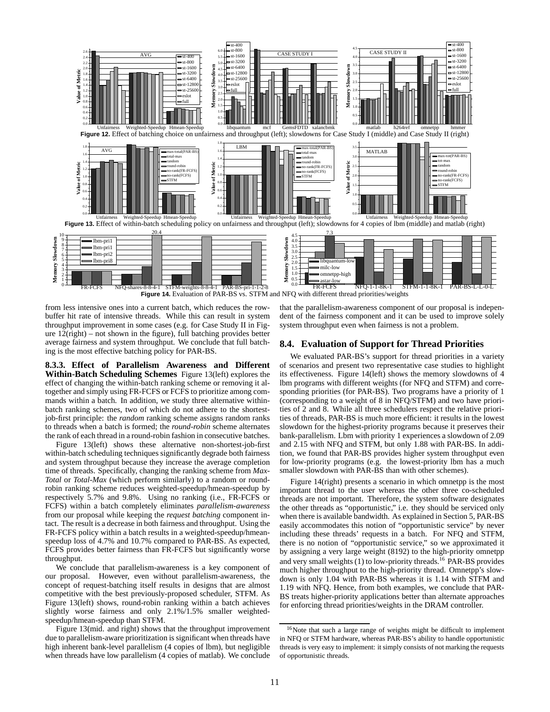

from less intensive ones into a current batch, which reduces the rowbuffer hit rate of intensive threads. While this can result in system throughput improvement in some cases (e.g. for Case Study II in Figure  $12$ (right) – not shown in the figure), full batching provides better average fairness and system throughput. We conclude that full batching is the most effective batching policy for PAR-BS.

**8.3.3. Effect of Parallelism Awareness and Different Within-Batch Scheduling Schemes** Figure 13(left) explores the effect of changing the within-batch ranking scheme or removing it altogether and simply using FR-FCFS or FCFS to prioritize among commands within a batch. In addition, we study three alternative withinbatch ranking schemes, two of which do not adhere to the shortestjob-first principle: the *random* ranking scheme assigns random ranks to threads when a batch is formed; the *round-robin* scheme alternates the rank of each thread in a round-robin fashion in consecutive batches.

Figure 13(left) shows these alternative non-shortest-job-first within-batch scheduling techniques significantly degrade both fairness and system throughput because they increase the average completion time of threads. Specifically, changing the ranking scheme from *Max-Total* or *Total-Max* (which perform similarly) to a random or roundrobin ranking scheme reduces weighted-speedup/hmean-speedup by respectively 5.7% and 9.8%. Using no ranking (i.e., FR-FCFS or FCFS) within a batch completely eliminates *parallelism-awareness* from our proposal while keeping the *request batching* component intact. The result is a decrease in both fairness and throughput. Using the FR-FCFS policy within a batch results in a weighted-speedup/hmeanspeedup loss of 4.7% and 10.7% compared to PAR-BS. As expected, FCFS provides better fairness than FR-FCFS but significantly worse throughput.

We conclude that parallelism-awareness is a key component of our proposal. However, even without parallelism-awareness, the concept of request-batching itself results in designs that are almost competitive with the best previously-proposed scheduler, STFM. As Figure 13(left) shows, round-robin ranking within a batch achieves slightly worse fairness and only 2.1%/1.5% smaller weightedspeedup/hmean-speedup than STFM.

Figure 13(mid. and right) shows that the throughput improvement due to parallelism-aware prioritization is significant when threads have high inherent bank-level parallelism (4 copies of lbm), but negligible when threads have low parallelism (4 copies of matlab). We conclude

that the parallelism-awareness component of our proposal is independent of the fairness component and it can be used to improve solely system throughput even when fairness is not a problem.

# **8.4. Evaluation of Support for Thread Priorities**

We evaluated PAR-BS's support for thread priorities in a variety of scenarios and present two representative case studies to highlight its effectiveness. Figure 14(left) shows the memory slowdowns of 4 lbm programs with different weights (for NFQ and STFM) and corresponding priorities (for PAR-BS). Two programs have a priority of 1 (corresponding to a weight of 8 in NFQ/STFM) and two have priorities of 2 and 8. While all three schedulers respect the relative priorities of threads, PAR-BS is much more efficient: it results in the lowest slowdown for the highest-priority programs because it preserves their bank-parallelism. Lbm with priority 1 experiences a slowdown of 2.09 and 2.15 with NFQ and STFM, but only 1.88 with PAR-BS. In addition, we found that PAR-BS provides higher system throughput even for low-priority programs (e.g. the lowest-priority lbm has a much smaller slowdown with PAR-BS than with other schemes).

Figure 14(right) presents a scenario in which omnetpp is the most important thread to the user whereas the other three co-scheduled threads are not important. Therefore, the system software designates the other threads as "opportunistic," i.e. they should be serviced only when there is available bandwidth. As explained in Section 5, PAR-BS easily accommodates this notion of "opportunistic service" by never including these threads' requests in a batch. For NFQ and STFM, there is no notion of "opportunistic service," so we approximated it by assigning a very large weight (8192) to the high-priority omnetpp and very small weights (1) to low-priority threads.<sup>16</sup> PAR-BS provides much higher throughput to the high-priority thread. Omnetpp's slowdown is only 1.04 with PAR-BS whereas it is 1.14 with STFM and 1.19 with NFQ. Hence, from both examples, we conclude that PAR-BS treats higher-priority applications better than alternate approaches for enforcing thread priorities/weights in the DRAM controller.

<sup>&</sup>lt;sup>16</sup>Note that such a large range of weights might be difficult to implement in NFQ or STFM hardware, whereas PAR-BS's ability to handle opportunistic threads is very easy to implement: it simply consists of not marking the requests of opportunistic threads.